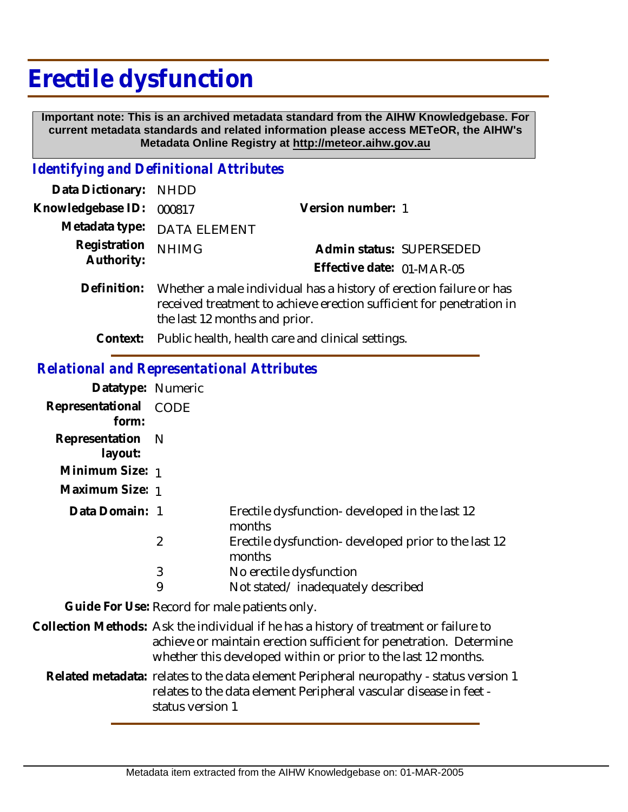## **Erectile dysfunction**

 **Important note: This is an archived metadata standard from the AIHW Knowledgebase. For current metadata standards and related information please access METeOR, the AIHW's Metadata Online Registry at http://meteor.aihw.gov.au**

## *Identifying and Definitional Attributes*

| Data Dictionary: NHDD      |                                                                                                                                                                             |                                                       |  |
|----------------------------|-----------------------------------------------------------------------------------------------------------------------------------------------------------------------------|-------------------------------------------------------|--|
| Knowledgebase ID:          | 000817                                                                                                                                                                      | Version number: 1                                     |  |
|                            | Metadata type: DATA ELEMENT                                                                                                                                                 |                                                       |  |
| Registration<br>Authority: | <b>NHIMG</b>                                                                                                                                                                | Admin status: SUPERSEDED<br>Effective date: 01-MAR-05 |  |
| Definition:                | Whether a male individual has a history of erection failure or has<br>received treatment to achieve erection sufficient for penetration in<br>the last 12 months and prior. |                                                       |  |

**Context:** Public health, health care and clinical settings.

## *Relational and Representational Attributes*

| Datatype: Numeric           |             |                                                               |
|-----------------------------|-------------|---------------------------------------------------------------|
| Representational<br>form:   | <b>CODE</b> |                                                               |
|                             |             |                                                               |
| Representation N<br>layout: |             |                                                               |
| Minimum Size: 1             |             |                                                               |
| Maximum Size: 1             |             |                                                               |
| Data Domain: 1              |             | Erectile dysfunction-developed in the last 12<br>months       |
|                             | 2           | Erectile dysfunction-developed prior to the last 12<br>months |
|                             | 3           | No erectile dysfunction                                       |
|                             | 9           | Not stated/inadequately described                             |

**Guide For Use:** Record for male patients only.

Collection Methods: Ask the individual if he has a history of treatment or failure to achieve or maintain erection sufficient for penetration. Determine whether this developed within or prior to the last 12 months.

Related metadata: relates to the data element Peripheral neuropathy - status version 1 relates to the data element Peripheral vascular disease in feet status version 1